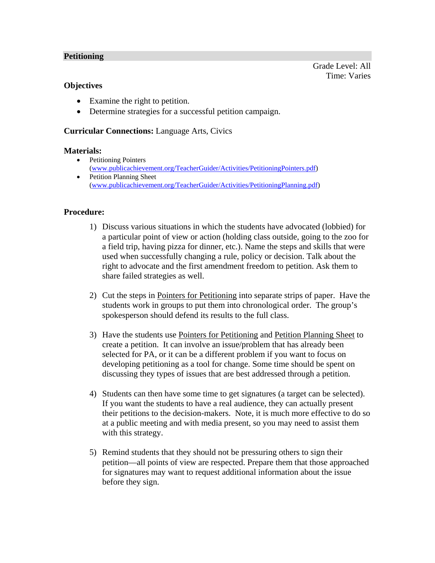# **Petitioning**

# **Objectives**

- Examine the right to petition.
- Determine strategies for a successful petition campaign.

# **Curricular Connections:** Language Arts, Civics

#### **Materials:**

- Petitioning Pointers (www.publicachievement.org/TeacherGuider/Activities/PetitioningPointers.pdf)
- Petition Planning Sheet (www.publicachievement.org/TeacherGuider/Activities/PetitioningPlanning.pdf)

# **Procedure:**

- 1) Discuss various situations in which the students have advocated (lobbied) for a particular point of view or action (holding class outside, going to the zoo for a field trip, having pizza for dinner, etc.). Name the steps and skills that were used when successfully changing a rule, policy or decision. Talk about the right to advocate and the first amendment freedom to petition. Ask them to share failed strategies as well.
- 2) Cut the steps in Pointers for Petitioning into separate strips of paper. Have the students work in groups to put them into chronological order. The group's spokesperson should defend its results to the full class.
- 3) Have the students use Pointers for Petitioning and Petition Planning Sheet to create a petition. It can involve an issue/problem that has already been selected for PA, or it can be a different problem if you want to focus on developing petitioning as a tool for change. Some time should be spent on discussing they types of issues that are best addressed through a petition.
- 4) Students can then have some time to get signatures (a target can be selected). If you want the students to have a real audience, they can actually present their petitions to the decision-makers. Note, it is much more effective to do so at a public meeting and with media present, so you may need to assist them with this strategy.
- 5) Remind students that they should not be pressuring others to sign their petition—all points of view are respected. Prepare them that those approached for signatures may want to request additional information about the issue before they sign.